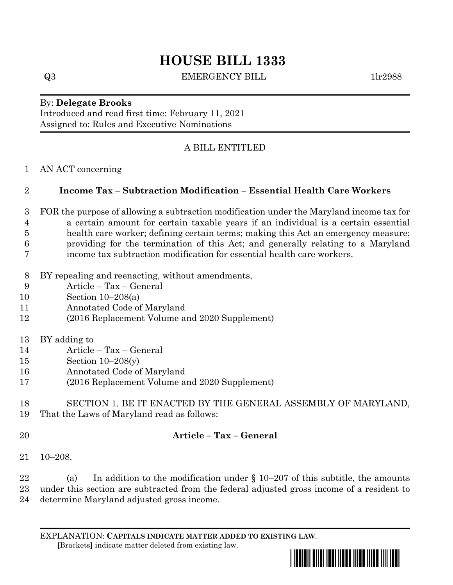# **HOUSE BILL 1333**

Q3 EMERGENCY BILL 1lr2988

#### By: **Delegate Brooks** Introduced and read first time: February 11, 2021

Assigned to: Rules and Executive Nominations

# A BILL ENTITLED

### AN ACT concerning

## **Income Tax – Subtraction Modification – Essential Health Care Workers**

- FOR the purpose of allowing a subtraction modification under the Maryland income tax for a certain amount for certain taxable years if an individual is a certain essential health care worker; defining certain terms; making this Act an emergency measure; providing for the termination of this Act; and generally relating to a Maryland income tax subtraction modification for essential health care workers.
- BY repealing and reenacting, without amendments,
- Article Tax General
- Section 10–208(a)
- Annotated Code of Maryland
- (2016 Replacement Volume and 2020 Supplement)
- BY adding to
- Article Tax General
- Section 10–208(y)
- Annotated Code of Maryland
- (2016 Replacement Volume and 2020 Supplement)

#### SECTION 1. BE IT ENACTED BY THE GENERAL ASSEMBLY OF MARYLAND, That the Laws of Maryland read as follows:

## **Article – Tax – General**

10–208.

22 (a) In addition to the modification under  $\S 10-207$  of this subtitle, the amounts under this section are subtracted from the federal adjusted gross income of a resident to determine Maryland adjusted gross income.

EXPLANATION: **CAPITALS INDICATE MATTER ADDED TO EXISTING LAW**.  **[**Brackets**]** indicate matter deleted from existing law.